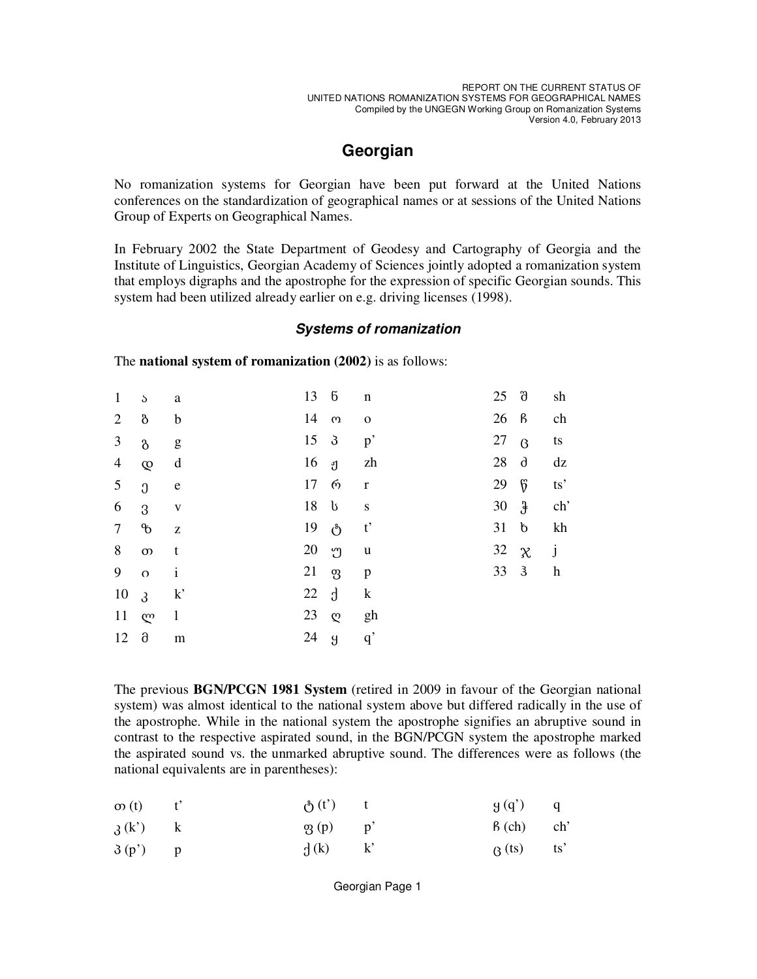sh

ch

ts

 $dz$ 

ts'

 $ch<sup>2</sup>$ 

kh

j

 $\mathbf{h}$ 

## Georgian

No romanization systems for Georgian have been put forward at the United Nations conferences on the standardization of geographical names or at sessions of the United Nations Group of Experts on Geographical Names.

In February 2002 the State Department of Geodesy and Cartography of Georgia and the Institute of Linguistics, Georgian Academy of Sciences jointly adopted a romanization system that employs digraphs and the apostrophe for the expression of specific Georgian sounds. This system had been utilized already earlier on e.g. driving licenses (1998).

## **Systems of romanization**

13  $\sqrt{6}$  $25 \quad \text{d}$  $\mathbf{1}$  $\delta$  $\mathbf n$ a 14  $26 \quad B$  $\overline{2}$  $\delta$  $\Omega$ b  $\mathbf O$ 3 15 3 27  $p^{\prime}$  $\beta$  $\delta$ g  $\overline{4}$ 16 zh 28  $\theta$  $\infty$ d ្រា  $6^{\circ}$ 17  $\omega$ 29 5  $\Omega$ e  $\mathbf{r}$ 18  $\mathbf b$  $\ddot{x}$ 6 30 3  ${\bf S}$  $\mathbf{V}$  $\overline{7}$  $\phi$ 19  $\binom{8}{ }$  $t^{\prime}$  $31 b$  $\bar{z}$ 32 8  $\infty$ 20 ဤ  $\mathbf u$  $\chi$  $\mathbf{t}$  $33 \quad 3$ 9 21  $\dot{\mathcal{P}}$  $\Omega$  $\mathbf{i}$ p 22  $\mathbf{d}$  $\bf k$ 10  $k^{\prime}$  $\mathfrak{z}$ 11  $\mathbf{1}$ 23 ლ  $\mathfrak{O}$ gh 24  $12 \quad \partial$  $\mathfrak{g}$  $q'$  $m$ 

The **national system of romanization** (2002) is as follows:

The previous BGN/PCGN 1981 System (retired in 2009 in favour of the Georgian national system) was almost identical to the national system above but differed radically in the use of the apostrophe. While in the national system the apostrophe signifies an abruptive sound in contrast to the respective aspirated sound, in the BGN/PCGN system the apostrophe marked the aspirated sound vs. the unmarked abruptive sound. The differences were as follows (the national equivalents are in parentheses):

| $\infty(t)$ $t'$ | $\delta(t')$ t | $g(q')$ q        |  |
|------------------|----------------|------------------|--|
| $\lambda(k')$ k  | $\phi_3(p)$ p' | $\beta$ (ch) ch' |  |
| $\delta(p')$ p   | $\int (k)$ k'  | $\beta$ (ts) ts' |  |

Georgian Page 1